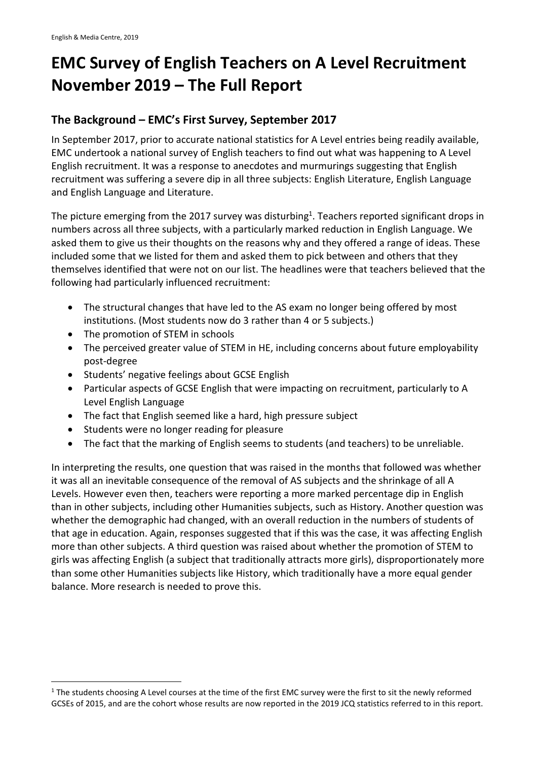# **EMC Survey of English Teachers on A Level Recruitment November 2019 – The Full Report**

### **The Background – EMC's First Survey, September 2017**

In September 2017, prior to accurate national statistics for A Level entries being readily available, EMC undertook a national survey of English teachers to find out what was happening to A Level English recruitment. It was a response to anecdotes and murmurings suggesting that English recruitment was suffering a severe dip in all three subjects: English Literature, English Language and English Language and Literature.

The picture emerging from the 2017 survey was disturbing<sup>1</sup>. Teachers reported significant drops in numbers across all three subjects, with a particularly marked reduction in English Language. We asked them to give us their thoughts on the reasons why and they offered a range of ideas. These included some that we listed for them and asked them to pick between and others that they themselves identified that were not on our list. The headlines were that teachers believed that the following had particularly influenced recruitment:

- The structural changes that have led to the AS exam no longer being offered by most institutions. (Most students now do 3 rather than 4 or 5 subjects.)
- The promotion of STEM in schools
- The perceived greater value of STEM in HE, including concerns about future employability post-degree
- Students' negative feelings about GCSE English
- Particular aspects of GCSE English that were impacting on recruitment, particularly to A Level English Language
- The fact that English seemed like a hard, high pressure subject
- Students were no longer reading for pleasure
- The fact that the marking of English seems to students (and teachers) to be unreliable.

In interpreting the results, one question that was raised in the months that followed was whether it was all an inevitable consequence of the removal of AS subjects and the shrinkage of all A Levels. However even then, teachers were reporting a more marked percentage dip in English than in other subjects, including other Humanities subjects, such as History. Another question was whether the demographic had changed, with an overall reduction in the numbers of students of that age in education. Again, responses suggested that if this was the case, it was affecting English more than other subjects. A third question was raised about whether the promotion of STEM to girls was affecting English (a subject that traditionally attracts more girls), disproportionately more than some other Humanities subjects like History, which traditionally have a more equal gender balance. More research is needed to prove this.

 $1$  The students choosing A Level courses at the time of the first EMC survey were the first to sit the newly reformed GCSEs of 2015, and are the cohort whose results are now reported in the 2019 JCQ statistics referred to in this report.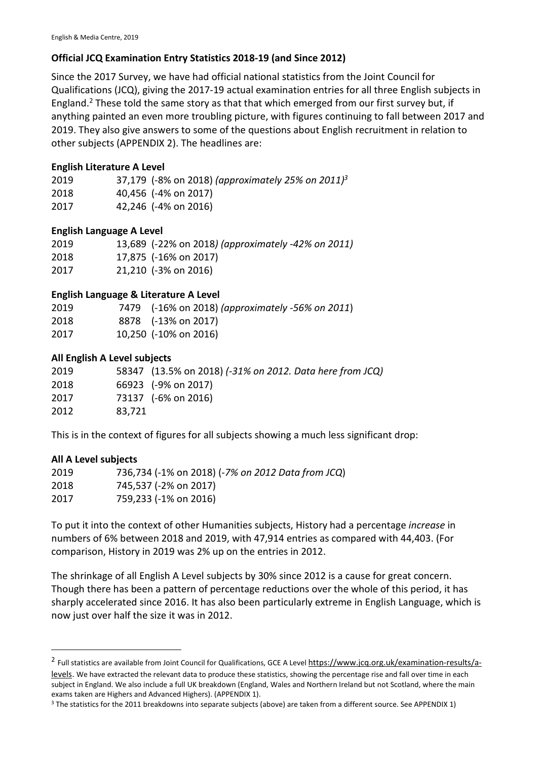### **Official JCQ Examination Entry Statistics 2018-19 (and Since 2012)**

Since the 2017 Survey, we have had official national statistics from the Joint Council for Qualifications (JCQ), giving the 2017-19 actual examination entries for all three English subjects in England.<sup>2</sup> These told the same story as that that which emerged from our first survey but, if anything painted an even more troubling picture, with figures continuing to fall between 2017 and 2019. They also give answers to some of the questions about English recruitment in relation to other subjects (APPENDIX 2). The headlines are:

### **English Literature A Level**

| 2019 | 37,179 (-8% on 2018) (approximately 25% on 2011) <sup>3</sup> |
|------|---------------------------------------------------------------|
| 2018 | 40,456 (-4% on 2017)                                          |
| 2017 | 42,246 (-4% on 2016)                                          |

### **English Language A Level**

| 2019 | 13,689 (-22% on 2018) (approximately -42% on 2011) |
|------|----------------------------------------------------|
| 2018 | 17,875 (-16% on 2017)                              |
| 2017 | 21,210 (-3% on 2016)                               |

### **English Language & Literature A Level**

| 2019 | 7479 (-16% on 2018) (approximately -56% on 2011) |
|------|--------------------------------------------------|
| 2018 | 8878 (-13% on 2017)                              |
| 2017 | 10,250 (-10% on 2016)                            |

### **All English A Level subjects**

| 2019 |        | 58347 (13.5% on 2018) (-31% on 2012. Data here from JCQ) |
|------|--------|----------------------------------------------------------|
| 2018 |        | 66923 (-9% on 2017)                                      |
| 2017 |        | 73137 (-6% on 2016)                                      |
| 2012 | 83,721 |                                                          |

This is in the context of figures for all subjects showing a much less significant drop:

### **All A Level subjects**

| 2019 | 736,734 (-1% on 2018) (-7% on 2012 Data from JCQ) |
|------|---------------------------------------------------|
| 2018 | 745,537 (-2% on 2017)                             |
| 2017 | 759,233 (-1% on 2016)                             |

To put it into the context of other Humanities subjects, History had a percentage *increase* in numbers of 6% between 2018 and 2019, with 47,914 entries as compared with 44,403. (For comparison, History in 2019 was 2% up on the entries in 2012.

The shrinkage of all English A Level subjects by 30% since 2012 is a cause for great concern. Though there has been a pattern of percentage reductions over the whole of this period, it has sharply accelerated since 2016. It has also been particularly extreme in English Language, which is now just over half the size it was in 2012.

<sup>&</sup>lt;sup>2</sup> Full statistics are available from Joint Council for Qualifications, GCE A Level https://www.jcq.org.uk/examination-results/alevels. We have extracted the relevant data to produce these statistics, showing the percentage rise and fall over time in each subject in England. We also include a full UK breakdown (England, Wales and Northern Ireland but not Scotland, where the main exams taken are Highers and Advanced Highers). (APPENDIX 1).

<sup>&</sup>lt;sup>3</sup> The statistics for the 2011 breakdowns into separate subjects (above) are taken from a different source. See APPENDIX 1)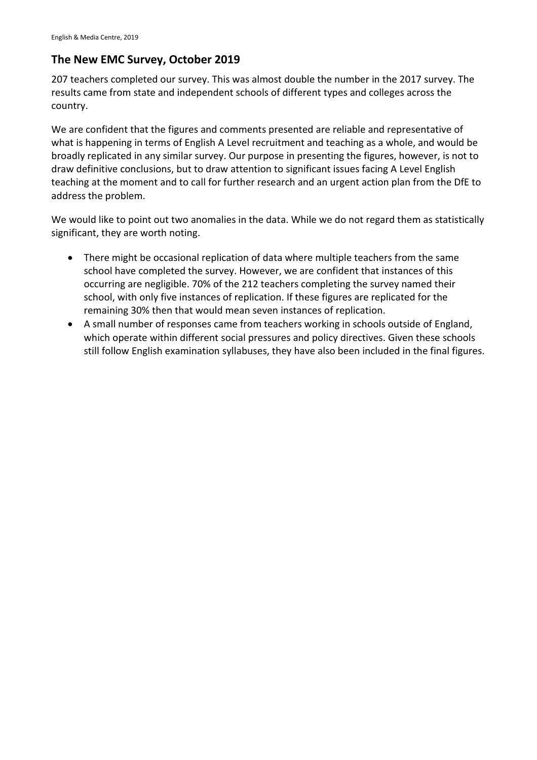### **The New EMC Survey, October 2019**

207 teachers completed our survey. This was almost double the number in the 2017 survey. The results came from state and independent schools of different types and colleges across the country.

We are confident that the figures and comments presented are reliable and representative of what is happening in terms of English A Level recruitment and teaching as a whole, and would be broadly replicated in any similar survey. Our purpose in presenting the figures, however, is not to draw definitive conclusions, but to draw attention to significant issues facing A Level English teaching at the moment and to call for further research and an urgent action plan from the DfE to address the problem.

We would like to point out two anomalies in the data. While we do not regard them as statistically significant, they are worth noting.

- There might be occasional replication of data where multiple teachers from the same school have completed the survey. However, we are confident that instances of this occurring are negligible. 70% of the 212 teachers completing the survey named their school, with only five instances of replication. If these figures are replicated for the remaining 30% then that would mean seven instances of replication.
- A small number of responses came from teachers working in schools outside of England, which operate within different social pressures and policy directives. Given these schools still follow English examination syllabuses, they have also been included in the final figures.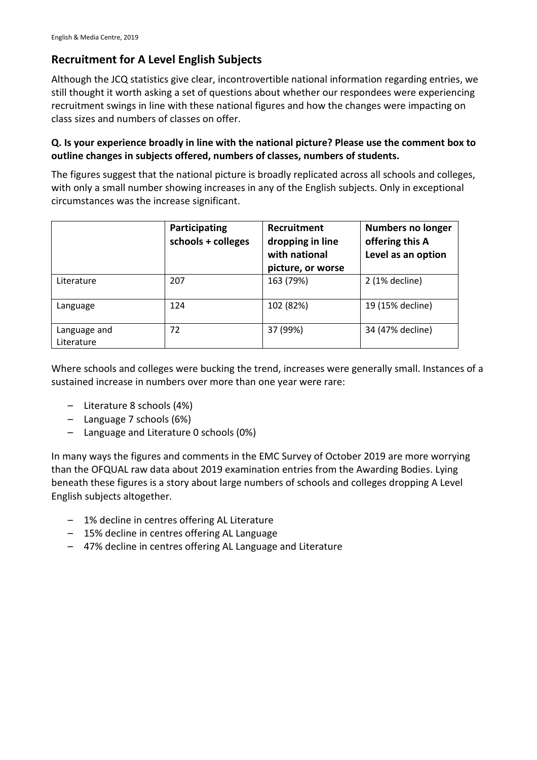# **Recruitment for A Level English Subjects**

Although the JCQ statistics give clear, incontrovertible national information regarding entries, we still thought it worth asking a set of questions about whether our respondees were experiencing recruitment swings in line with these national figures and how the changes were impacting on class sizes and numbers of classes on offer.

### **Q. Is your experience broadly in line with the national picture? Please use the comment box to outline changes in subjects offered, numbers of classes, numbers of students.**

The figures suggest that the national picture is broadly replicated across all schools and colleges, with only a small number showing increases in any of the English subjects. Only in exceptional circumstances was the increase significant.

|                            | Participating<br>schools + colleges | <b>Recruitment</b><br>dropping in line<br>with national<br>picture, or worse | <b>Numbers no longer</b><br>offering this A<br>Level as an option |
|----------------------------|-------------------------------------|------------------------------------------------------------------------------|-------------------------------------------------------------------|
| Literature                 | 207                                 | 163 (79%)                                                                    | $2(1\%$ decline)                                                  |
| Language                   | 124                                 | 102 (82%)                                                                    | 19 (15% decline)                                                  |
| Language and<br>Literature | 72                                  | 37 (99%)                                                                     | 34 (47% decline)                                                  |

Where schools and colleges were bucking the trend, increases were generally small. Instances of a sustained increase in numbers over more than one year were rare:

- Literature 8 schools (4%)
- Language 7 schools (6%)
- Language and Literature 0 schools (0%)

In many ways the figures and comments in the EMC Survey of October 2019 are more worrying than the OFQUAL raw data about 2019 examination entries from the Awarding Bodies. Lying beneath these figures is a story about large numbers of schools and colleges dropping A Level English subjects altogether.

- 1% decline in centres offering AL Literature
- 15% decline in centres offering AL Language
- 47% decline in centres offering AL Language and Literature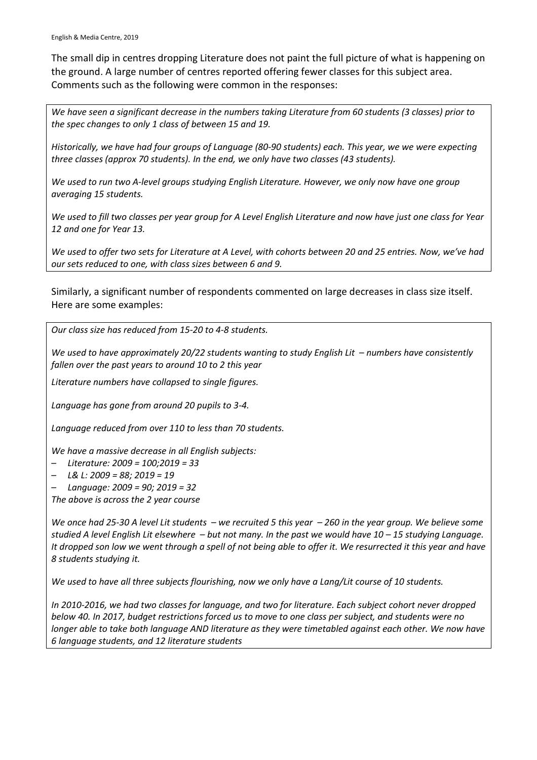English & Media Centre, 2019

The small dip in centres dropping Literature does not paint the full picture of what is happening on the ground. A large number of centres reported offering fewer classes for this subject area. Comments such as the following were common in the responses:

*We have seen a significant decrease in the numbers taking Literature from 60 students (3 classes) prior to the spec changes to only 1 class of between 15 and 19.* 

*Historically, we have had four groups of Language (80-90 students) each. This year, we we were expecting three classes (approx 70 students). In the end, we only have two classes (43 students).* 

*We used to run two A-level groups studying English Literature. However, we only now have one group averaging 15 students.* 

*We used to fill two classes per year group for A Level English Literature and now have just one class for Year 12 and one for Year 13.* 

*We used to offer two sets for Literature at A Level, with cohorts between 20 and 25 entries. Now, we've had our sets reduced to one, with class sizes between 6 and 9.* 

Similarly, a significant number of respondents commented on large decreases in class size itself. Here are some examples:

*Our class size has reduced from 15-20 to 4-8 students.* 

*We used to have approximately 20/22 students wanting to study English Lit – numbers have consistently fallen over the past years to around 10 to 2 this year* 

*Literature numbers have collapsed to single figures.*

*Language has gone from around 20 pupils to 3-4.*

*Language reduced from over 110 to less than 70 students.*

*We have a massive decrease in all English subjects:*

- *Literature: 2009 = 100;2019 = 33*
- *L& L: 2009 = 88; 2019 = 19*

– *Language: 2009 = 90; 2019 = 32* 

*The above is across the 2 year course* 

*We once had 25-30 A level Lit students – we recruited 5 this year – 260 in the year group. We believe some studied A level English Lit elsewhere – but not many. In the past we would have 10 – 15 studying Language. It dropped son low we went through a spell of not being able to offer it. We resurrected it this year and have 8 students studying it.* 

*We used to have all three subjects flourishing, now we only have a Lang/Lit course of 10 students.*

*In 2010-2016, we had two classes for language, and two for literature. Each subject cohort never dropped below 40. In 2017, budget restrictions forced us to move to one class per subject, and students were no longer able to take both language AND literature as they were timetabled against each other. We now have 6 language students, and 12 literature students*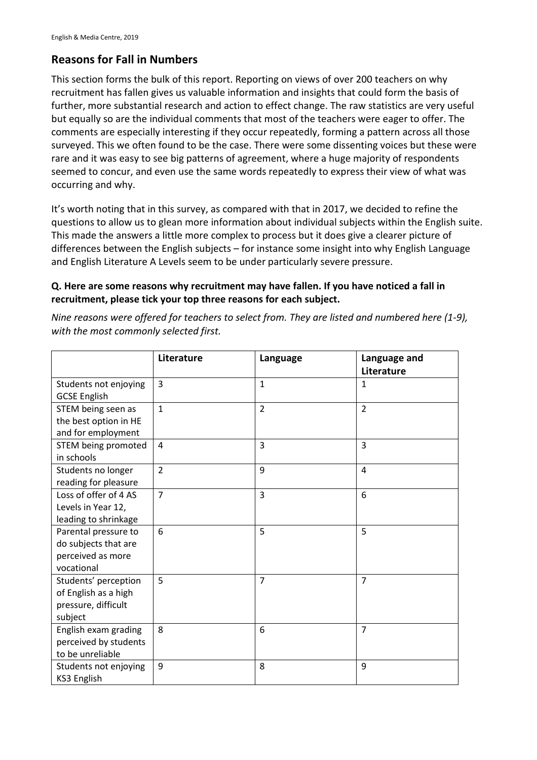### **Reasons for Fall in Numbers**

This section forms the bulk of this report. Reporting on views of over 200 teachers on why recruitment has fallen gives us valuable information and insights that could form the basis of further, more substantial research and action to effect change. The raw statistics are very useful but equally so are the individual comments that most of the teachers were eager to offer. The comments are especially interesting if they occur repeatedly, forming a pattern across all those surveyed. This we often found to be the case. There were some dissenting voices but these were rare and it was easy to see big patterns of agreement, where a huge majority of respondents seemed to concur, and even use the same words repeatedly to express their view of what was occurring and why.

It's worth noting that in this survey, as compared with that in 2017, we decided to refine the questions to allow us to glean more information about individual subjects within the English suite. This made the answers a little more complex to process but it does give a clearer picture of differences between the English subjects – for instance some insight into why English Language and English Literature A Levels seem to be under particularly severe pressure.

### **Q. Here are some reasons why recruitment may have fallen. If you have noticed a fall in recruitment, please tick your top three reasons for each subject.**

**Literature Language Language and Literature** Students not enjoying GCSE English  $\begin{array}{c|c|c|c|c} \hline 3 & 1 \end{array}$  | 1 STEM being seen as the best option in HE and for employment 1  $\vert 2 \vert 2 \vert 2$ STEM being promoted in schools 4 3 3 Students no longer reading for pleasure 2 | 9 | 4 Loss of offer of 4 AS Levels in Year 12, leading to shrinkage 7 3 6 Parental pressure to do subjects that are perceived as more vocational 6 5 5 Students' perception of English as a high pressure, difficult subject 5 7 7 English exam grading perceived by students to be unreliable 8 6 7 Students not enjoying KS3 English 9 8 9

*Nine reasons were offered for teachers to select from. They are listed and numbered here (1-9), with the most commonly selected first.*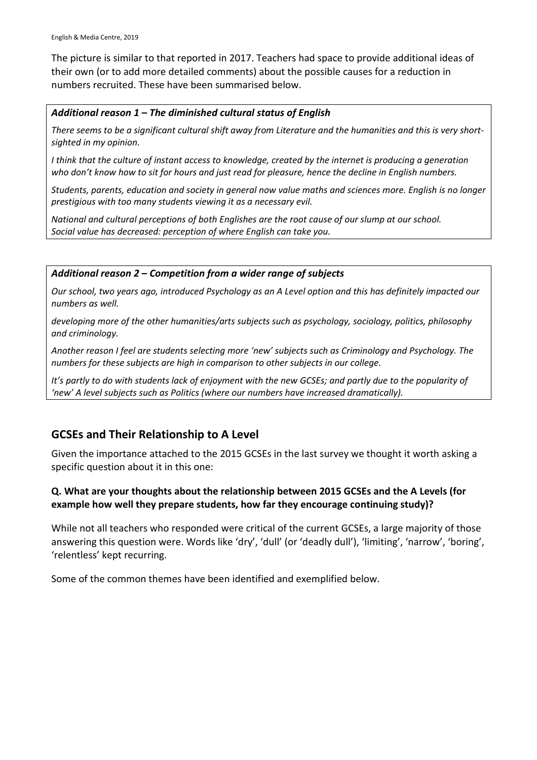The picture is similar to that reported in 2017. Teachers had space to provide additional ideas of their own (or to add more detailed comments) about the possible causes for a reduction in numbers recruited. These have been summarised below.

### *Additional reason 1 – The diminished cultural status of English*

*There seems to be a significant cultural shift away from Literature and the humanities and this is very shortsighted in my opinion.*

*I think that the culture of instant access to knowledge, created by the internet is producing a generation who don't know how to sit for hours and just read for pleasure, hence the decline in English numbers.* 

*Students, parents, education and society in general now value maths and sciences more. English is no longer prestigious with too many students viewing it as a necessary evil.* 

*National and cultural perceptions of both Englishes are the root cause of our slump at our school. Social value has decreased: perception of where English can take you.* 

### *Additional reason 2 – Competition from a wider range of subjects*

*Our school, two years ago, introduced Psychology as an A Level option and this has definitely impacted our numbers as well.* 

*developing more of the other humanities/arts subjects such as psychology, sociology, politics, philosophy and criminology.*

*Another reason I feel are students selecting more 'new' subjects such as Criminology and Psychology. The numbers for these subjects are high in comparison to other subjects in our college.* 

*It's partly to do with students lack of enjoyment with the new GCSEs; and partly due to the popularity of 'new' A level subjects such as Politics (where our numbers have increased dramatically).*

## **GCSEs and Their Relationship to A Level**

Given the importance attached to the 2015 GCSEs in the last survey we thought it worth asking a specific question about it in this one:

### **Q. What are your thoughts about the relationship between 2015 GCSEs and the A Levels (for example how well they prepare students, how far they encourage continuing study)?**

While not all teachers who responded were critical of the current GCSEs, a large majority of those answering this question were. Words like 'dry', 'dull' (or 'deadly dull'), 'limiting', 'narrow', 'boring', 'relentless' kept recurring.

Some of the common themes have been identified and exemplified below.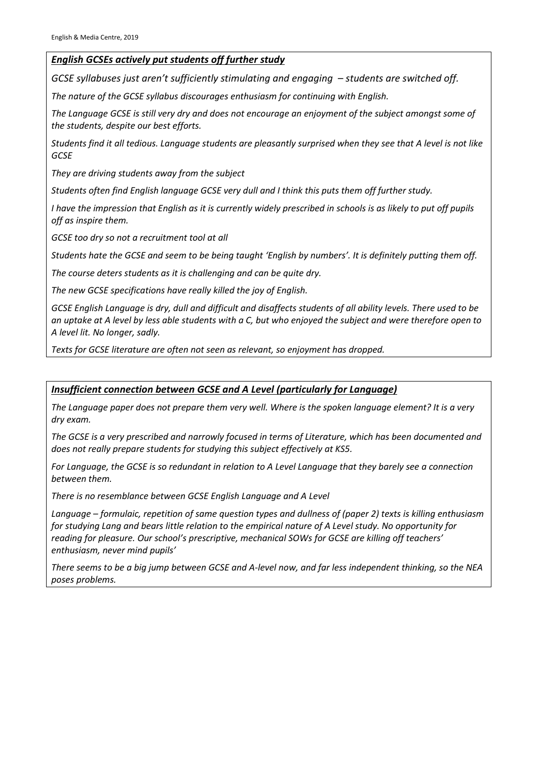### *English GCSEs actively put students off further study*

*GCSE syllabuses just aren't sufficiently stimulating and engaging – students are switched off.* 

*The nature of the GCSE syllabus discourages enthusiasm for continuing with English.* 

*The Language GCSE is still very dry and does not encourage an enjoyment of the subject amongst some of the students, despite our best efforts.* 

*Students find it all tedious. Language students are pleasantly surprised when they see that A level is not like GCSE* 

*They are driving students away from the subject* 

*Students often find English language GCSE very dull and I think this puts them off further study.* 

*I have the impression that English as it is currently widely prescribed in schools is as likely to put off pupils off as inspire them.* 

*GCSE too dry so not a recruitment tool at all* 

*Students hate the GCSE and seem to be being taught 'English by numbers'. It is definitely putting them off.* 

*The course deters students as it is challenging and can be quite dry.* 

*The new GCSE specifications have really killed the joy of English.* 

*GCSE English Language is dry, dull and difficult and disaffects students of all ability levels. There used to be an uptake at A level by less able students with a C, but who enjoyed the subject and were therefore open to A level lit. No longer, sadly.* 

*Texts for GCSE literature are often not seen as relevant, so enjoyment has dropped.* 

### *Insufficient connection between GCSE and A Level (particularly for Language)*

*The Language paper does not prepare them very well. Where is the spoken language element? It is a very dry exam.* 

*The GCSE is a very prescribed and narrowly focused in terms of Literature, which has been documented and does not really prepare students for studying this subject effectively at KS5.* 

*For Language, the GCSE is so redundant in relation to A Level Language that they barely see a connection between them.* 

*There is no resemblance between GCSE English Language and A Level*

*Language – formulaic, repetition of same question types and dullness of (paper 2) texts is killing enthusiasm for studying Lang and bears little relation to the empirical nature of A Level study. No opportunity for reading for pleasure. Our school's prescriptive, mechanical SOWs for GCSE are killing off teachers' enthusiasm, never mind pupils'*

*There seems to be a big jump between GCSE and A-level now, and far less independent thinking, so the NEA poses problems.*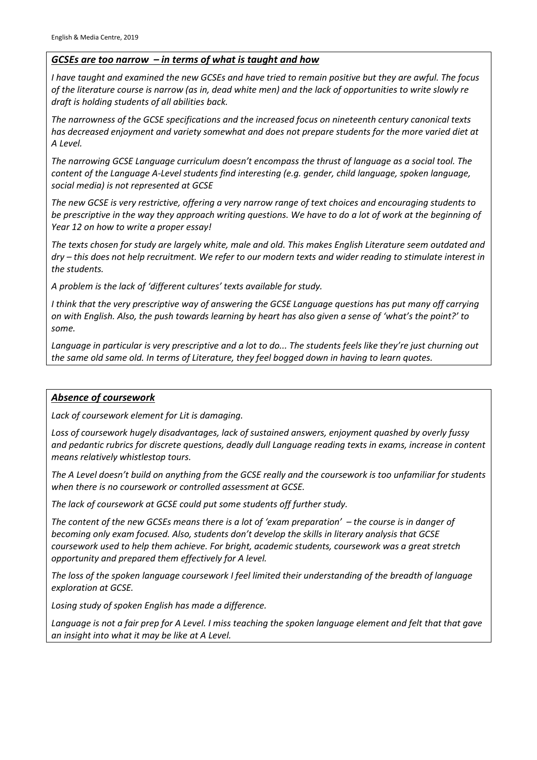### *GCSEs are too narrow – in terms of what is taught and how*

*I have taught and examined the new GCSEs and have tried to remain positive but they are awful. The focus of the literature course is narrow (as in, dead white men) and the lack of opportunities to write slowly re draft is holding students of all abilities back.* 

*The narrowness of the GCSE specifications and the increased focus on nineteenth century canonical texts has decreased enjoyment and variety somewhat and does not prepare students for the more varied diet at A Level.*

*The narrowing GCSE Language curriculum doesn't encompass the thrust of language as a social tool. The content of the Language A-Level students find interesting (e.g. gender, child language, spoken language, social media) is not represented at GCSE* 

*The new GCSE is very restrictive, offering a very narrow range of text choices and encouraging students to be prescriptive in the way they approach writing questions. We have to do a lot of work at the beginning of Year 12 on how to write a proper essay!* 

*The texts chosen for study are largely white, male and old. This makes English Literature seem outdated and dry – this does not help recruitment. We refer to our modern texts and wider reading to stimulate interest in the students.* 

*A problem is the lack of 'different cultures' texts available for study.* 

*I think that the very prescriptive way of answering the GCSE Language questions has put many off carrying on with English. Also, the push towards learning by heart has also given a sense of 'what's the point?' to some.* 

*Language in particular is very prescriptive and a lot to do... The students feels like they're just churning out the same old same old. In terms of Literature, they feel bogged down in having to learn quotes.* 

### *Absence of coursework*

*Lack of coursework element for Lit is damaging.*

*Loss of coursework hugely disadvantages, lack of sustained answers, enjoyment quashed by overly fussy and pedantic rubrics for discrete questions, deadly dull Language reading texts in exams, increase in content means relatively whistlestop tours.*

*The A Level doesn't build on anything from the GCSE really and the coursework is too unfamiliar for students when there is no coursework or controlled assessment at GCSE.* 

*The lack of coursework at GCSE could put some students off further study.*

*The content of the new GCSEs means there is a lot of 'exam preparation' – the course is in danger of becoming only exam focused. Also, students don't develop the skills in literary analysis that GCSE coursework used to help them achieve. For bright, academic students, coursework was a great stretch opportunity and prepared them effectively for A level.* 

*The loss of the spoken language coursework I feel limited their understanding of the breadth of language exploration at GCSE.* 

*Losing study of spoken English has made a difference.* 

*Language is not a fair prep for A Level. I miss teaching the spoken language element and felt that that gave an insight into what it may be like at A Level.*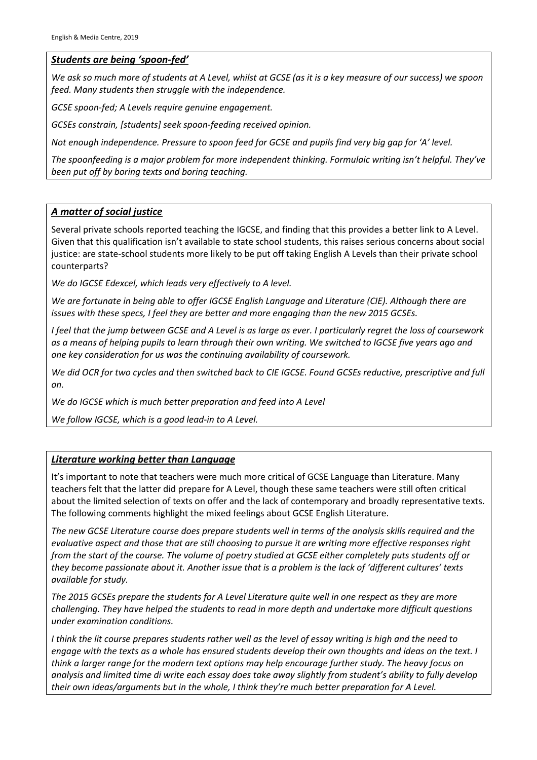### *Students are being 'spoon-fed'*

*We ask so much more of students at A Level, whilst at GCSE (as it is a key measure of our success) we spoon feed. Many students then struggle with the independence.* 

*GCSE spoon-fed; A Levels require genuine engagement.*

*GCSEs constrain, [students] seek spoon-feeding received opinion.*

*Not enough independence. Pressure to spoon feed for GCSE and pupils find very big gap for 'A' level.* 

*The spoonfeeding is a major problem for more independent thinking. Formulaic writing isn't helpful. They've been put off by boring texts and boring teaching.*

### *A matter of social justice*

Several private schools reported teaching the IGCSE, and finding that this provides a better link to A Level. Given that this qualification isn't available to state school students, this raises serious concerns about social justice: are state-school students more likely to be put off taking English A Levels than their private school counterparts?

*We do IGCSE Edexcel, which leads very effectively to A level.* 

*We are fortunate in being able to offer IGCSE English Language and Literature (CIE). Although there are issues with these specs, I feel they are better and more engaging than the new 2015 GCSEs.* 

*I feel that the jump between GCSE and A Level is as large as ever. I particularly regret the loss of coursework as a means of helping pupils to learn through their own writing. We switched to IGCSE five years ago and one key consideration for us was the continuing availability of coursework.* 

*We did OCR for two cycles and then switched back to CIE IGCSE. Found GCSEs reductive, prescriptive and full on.* 

*We do IGCSE which is much better preparation and feed into A Level* 

*We follow IGCSE, which is a good lead-in to A Level.* 

#### *Literature working better than Language*

It's important to note that teachers were much more critical of GCSE Language than Literature. Many teachers felt that the latter did prepare for A Level, though these same teachers were still often critical about the limited selection of texts on offer and the lack of contemporary and broadly representative texts. The following comments highlight the mixed feelings about GCSE English Literature.

*The new GCSE Literature course does prepare students well in terms of the analysis skills required and the evaluative aspect and those that are still choosing to pursue it are writing more effective responses right from the start of the course. The volume of poetry studied at GCSE either completely puts students off or they become passionate about it. Another issue that is a problem is the lack of 'different cultures' texts available for study.* 

*The 2015 GCSEs prepare the students for A Level Literature quite well in one respect as they are more challenging. They have helped the students to read in more depth and undertake more difficult questions under examination conditions.* 

*I think the lit course prepares students rather well as the level of essay writing is high and the need to engage with the texts as a whole has ensured students develop their own thoughts and ideas on the text. I think a larger range for the modern text options may help encourage further study. The heavy focus on analysis and limited time di write each essay does take away slightly from student's ability to fully develop their own ideas/arguments but in the whole, I think they're much better preparation for A Level.*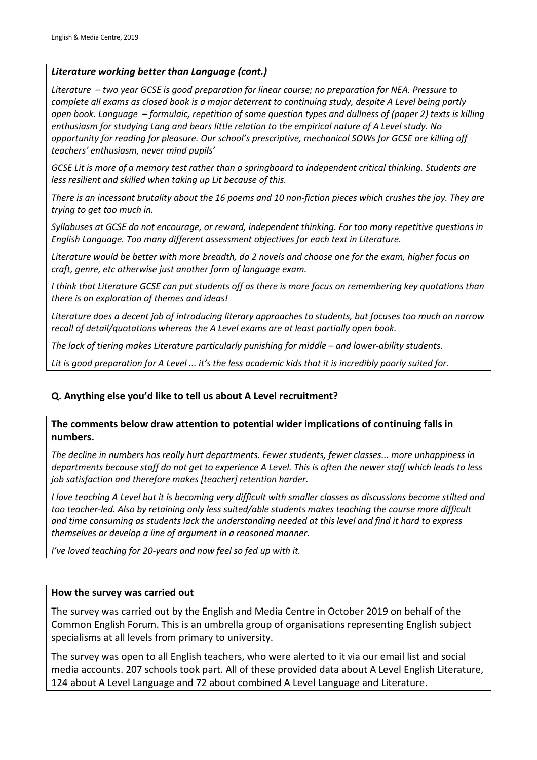### *Literature working better than Language (cont.)*

*Literature – two year GCSE is good preparation for linear course; no preparation for NEA. Pressure to complete all exams as closed book is a major deterrent to continuing study, despite A Level being partly open book. Language – formulaic, repetition of same question types and dullness of (paper 2) texts is killing enthusiasm for studying Lang and bears little relation to the empirical nature of A Level study. No opportunity for reading for pleasure. Our school's prescriptive, mechanical SOWs for GCSE are killing off teachers' enthusiasm, never mind pupils'*

*GCSE Lit is more of a memory test rather than a springboard to independent critical thinking. Students are less resilient and skilled when taking up Lit because of this.* 

*There is an incessant brutality about the 16 poems and 10 non-fiction pieces which crushes the joy. They are trying to get too much in.* 

*Syllabuses at GCSE do not encourage, or reward, independent thinking. Far too many repetitive questions in English Language. Too many different assessment objectives for each text in Literature.* 

*Literature would be better with more breadth, do 2 novels and choose one for the exam, higher focus on craft, genre, etc otherwise just another form of language exam.* 

*I think that Literature GCSE can put students off as there is more focus on remembering key quotations than there is on exploration of themes and ideas!* 

*Literature does a decent job of introducing literary approaches to students, but focuses too much on narrow recall of detail/quotations whereas the A Level exams are at least partially open book.* 

*The lack of tiering makes Literature particularly punishing for middle – and lower-ability students.* 

*Lit is good preparation for A Level ... it's the less academic kids that it is incredibly poorly suited for.*

### **Q. Anything else you'd like to tell us about A Level recruitment?**

**The comments below draw attention to potential wider implications of continuing falls in numbers.**

*The decline in numbers has really hurt departments. Fewer students, fewer classes... more unhappiness in departments because staff do not get to experience A Level. This is often the newer staff which leads to less job satisfaction and therefore makes [teacher] retention harder.* 

*I love teaching A Level but it is becoming very difficult with smaller classes as discussions become stilted and too teacher-led. Also by retaining only less suited/able students makes teaching the course more difficult and time consuming as students lack the understanding needed at this level and find it hard to express themselves or develop a line of argument in a reasoned manner.*

*I've loved teaching for 20-years and now feel so fed up with it.*

### **How the survey was carried out**

The survey was carried out by the English and Media Centre in October 2019 on behalf of the Common English Forum. This is an umbrella group of organisations representing English subject specialisms at all levels from primary to university.

The survey was open to all English teachers, who were alerted to it via our email list and social media accounts. 207 schools took part. All of these provided data about A Level English Literature, 124 about A Level Language and 72 about combined A Level Language and Literature.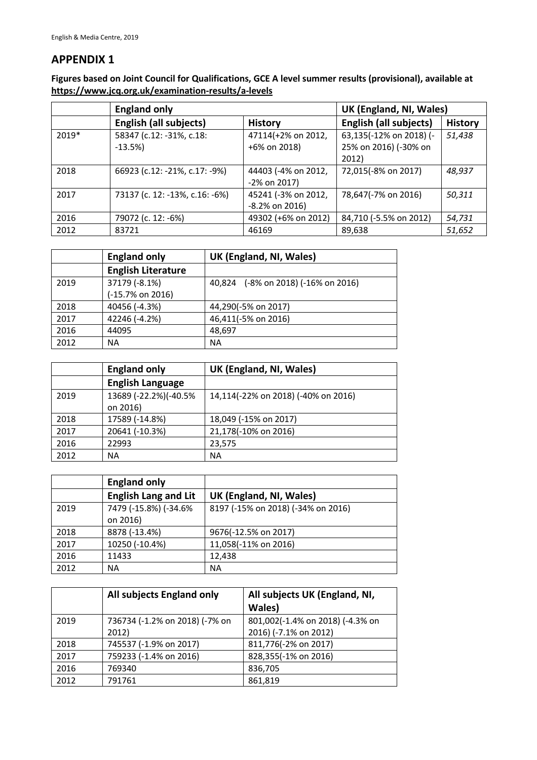### **APPENDIX 1**

**Figures based on Joint Council for Qualifications, GCE A level summer results (provisional), available at https://www.jcq.org.uk/examination-results/a-levels**

|         | <b>England only</b>            |                     | UK (England, NI, Wales)       |                |
|---------|--------------------------------|---------------------|-------------------------------|----------------|
|         | <b>English (all subjects)</b>  | <b>History</b>      | <b>English (all subjects)</b> | <b>History</b> |
| $2019*$ | 58347 (c.12: -31%, c.18:       | 47114(+2% on 2012,  | 63,135(-12% on 2018) (-       | 51,438         |
|         | $-13.5%$                       | +6% on 2018)        | 25% on 2016) (-30% on         |                |
|         |                                |                     | 2012)                         |                |
| 2018    | 66923 (c.12: -21%, c.17: -9%)  | 44403 (-4% on 2012, | 72,015(-8% on 2017)           | 48,937         |
|         |                                | -2% on 2017)        |                               |                |
| 2017    | 73137 (c. 12: -13%, c.16: -6%) | 45241 (-3% on 2012, | 78,647(-7% on 2016)           | 50,311         |
|         |                                | $-8.2\%$ on 2016)   |                               |                |
| 2016    | 79072 (c. 12: -6%)             | 49302 (+6% on 2012) | 84,710 (-5.5% on 2012)        | 54,731         |
| 2012    | 83721                          | 46169               | 89,638                        | 51,652         |

|      | <b>England only</b>       | UK (England, NI, Wales)             |
|------|---------------------------|-------------------------------------|
|      | <b>English Literature</b> |                                     |
| 2019 | 37179 (-8.1%)             | 40,824 (-8% on 2018) (-16% on 2016) |
|      | (-15.7% on 2016)          |                                     |
| 2018 | 40456 (-4.3%)             | 44,290(-5% on 2017)                 |
| 2017 | 42246 (-4.2%)             | 46,411(-5% on 2016)                 |
| 2016 | 44095                     | 48,697                              |
| 2012 | NA.                       | <b>NA</b>                           |

|      | <b>England only</b>               | UK (England, NI, Wales)             |
|------|-----------------------------------|-------------------------------------|
|      | <b>English Language</b>           |                                     |
| 2019 | 13689 (-22.2%)(-40.5%<br>on 2016) | 14,114(-22% on 2018) (-40% on 2016) |
| 2018 | 17589 (-14.8%)                    | 18,049 (-15% on 2017)               |
| 2017 | 20641 (-10.3%)                    | 21,178(-10% on 2016)                |
| 2016 | 22993                             | 23,575                              |
| 2012 | NA.                               | <b>NA</b>                           |

|      | <b>England only</b>               |                                    |
|------|-----------------------------------|------------------------------------|
|      | <b>English Lang and Lit</b>       | UK (England, NI, Wales)            |
| 2019 | 7479 (-15.8%) (-34.6%<br>on 2016) | 8197 (-15% on 2018) (-34% on 2016) |
| 2018 | 8878 (-13.4%)                     | 9676(-12.5% on 2017)               |
| 2017 | 10250 (-10.4%)                    | 11,058(-11% on 2016)               |
| 2016 | 11433                             | 12,438                             |
| 2012 | <b>NA</b>                         | <b>NA</b>                          |

|      | All subjects England only       | All subjects UK (England, NI,<br>Wales)       |
|------|---------------------------------|-----------------------------------------------|
| 2019 | 736734 (-1.2% on 2018) (-7% on  | 801,002(-1.4% on 2018) (-4.3% on              |
| 2018 | 2012)<br>745537 (-1.9% on 2017) | 2016) (-7.1% on 2012)<br>811,776(-2% on 2017) |
| 2017 | 759233 (-1.4% on 2016)          | 828,355(-1% on 2016)                          |
| 2016 | 769340                          | 836,705                                       |
| 2012 | 791761                          | 861,819                                       |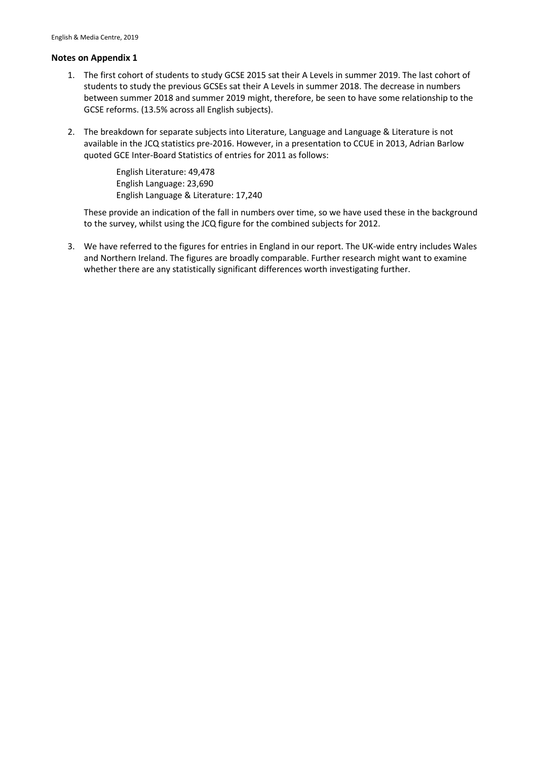#### **Notes on Appendix 1**

- 1. The first cohort of students to study GCSE 2015 sat their A Levels in summer 2019. The last cohort of students to study the previous GCSEs sat their A Levels in summer 2018. The decrease in numbers between summer 2018 and summer 2019 might, therefore, be seen to have some relationship to the GCSE reforms. (13.5% across all English subjects).
- 2. The breakdown for separate subjects into Literature, Language and Language & Literature is not available in the JCQ statistics pre-2016. However, in a presentation to CCUE in 2013, Adrian Barlow quoted GCE Inter-Board Statistics of entries for 2011 as follows:

English Literature: 49,478 English Language: 23,690 English Language & Literature: 17,240

These provide an indication of the fall in numbers over time, so we have used these in the background to the survey, whilst using the JCQ figure for the combined subjects for 2012.

3. We have referred to the figures for entries in England in our report. The UK-wide entry includes Wales and Northern Ireland. The figures are broadly comparable. Further research might want to examine whether there are any statistically significant differences worth investigating further.